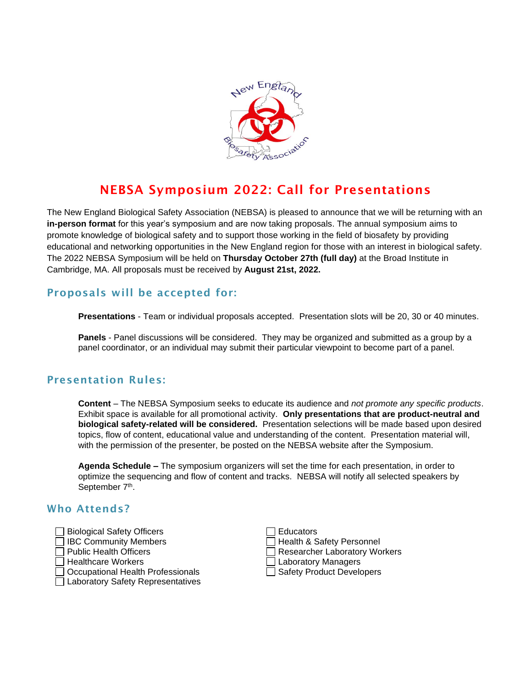

# NEBSA Symposium 2022: Call for Presentations

The New England Biological Safety Association (NEBSA) is pleased to announce that we will be returning with an **in-person format** for this year's symposium and are now taking proposals. The annual symposium aims to promote knowledge of biological safety and to support those working in the field of biosafety by providing educational and networking opportunities in the New England region for those with an interest in biological safety. The 2022 NEBSA Symposium will be held on **Thursday October 27th (full day)** at the Broad Institute in Cambridge, MA. All proposals must be received by **August 21st, 2022.**

## Proposals will be accepted for:

**Presentations** - Team or individual proposals accepted. Presentation slots will be 20, 30 or 40 minutes.

**Panels** - Panel discussions will be considered. They may be organized and submitted as a group by a panel coordinator, or an individual may submit their particular viewpoint to become part of a panel.

#### Presentation Rules:

**Content** – The NEBSA Symposium seeks to educate its audience and *not promote any specific products*. Exhibit space is available for all promotional activity. **Only presentations that are product-neutral and biological safety-related will be considered.** Presentation selections will be made based upon desired topics, flow of content, educational value and understanding of the content. Presentation material will, with the permission of the presenter, be posted on the NEBSA website after the Symposium.

**Agenda Schedule –** The symposium organizers will set the time for each presentation, in order to optimize the sequencing and flow of content and tracks. NEBSA will notify all selected speakers by September 7<sup>th</sup>.

#### Who Attends?

- Biological Safety Officers
- IBC Community Members
- $\exists$  Public Health Officers
- $\sqcap$  Healthcare Workers
- □ Occupational Health Professionals Safety Product Developers
- □ Laboratory Safety Representatives

| Educators                     |
|-------------------------------|
| Health & Safety Personnel     |
| Researcher Laboratory Workers |
| Laboratory Managers           |
| □ Safety Product Developers   |